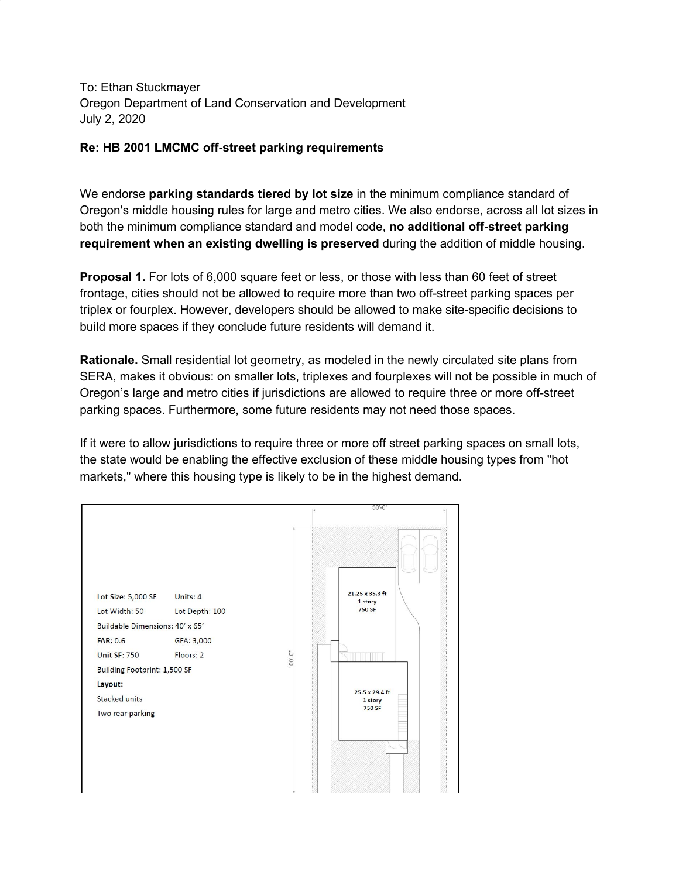To: Ethan Stuckmayer Oregon Department of Land Conservation and Development July 2, 2020

## **Re: HB 2001 LMCMC off-street parking requirements**

We endorse **parking standards tiered by lot size** in the minimum compliance standard of Oregon's middle housing rules for large and metro cities. We also endorse, across all lot sizes in both the minimum compliance standard and model code, **no additional off-street parking requirement when an existing dwelling is preserved** during the addition of middle housing.

**Proposal 1.** For lots of 6,000 square feet or less, or those with less than 60 feet of street frontage, cities should not be allowed to require more than two off-street parking spaces per triplex or fourplex. However, developers should be allowed to make site-specific decisions to build more spaces if they conclude future residents will demand it.

**Rationale.** Small residential lot geometry, as modeled in the newly circulated site plans from SERA, makes it obvious: on smaller lots, triplexes and fourplexes will not be possible in much of Oregon's large and metro cities if jurisdictions are allowed to require three or more off-street parking spaces. Furthermore, some future residents may not need those spaces.

If it were to allow jurisdictions to require three or more off street parking spaces on small lots, the state would be enabling the effective exclusion of these middle housing types from "hot markets," where this housing type is likely to be in the highest demand.

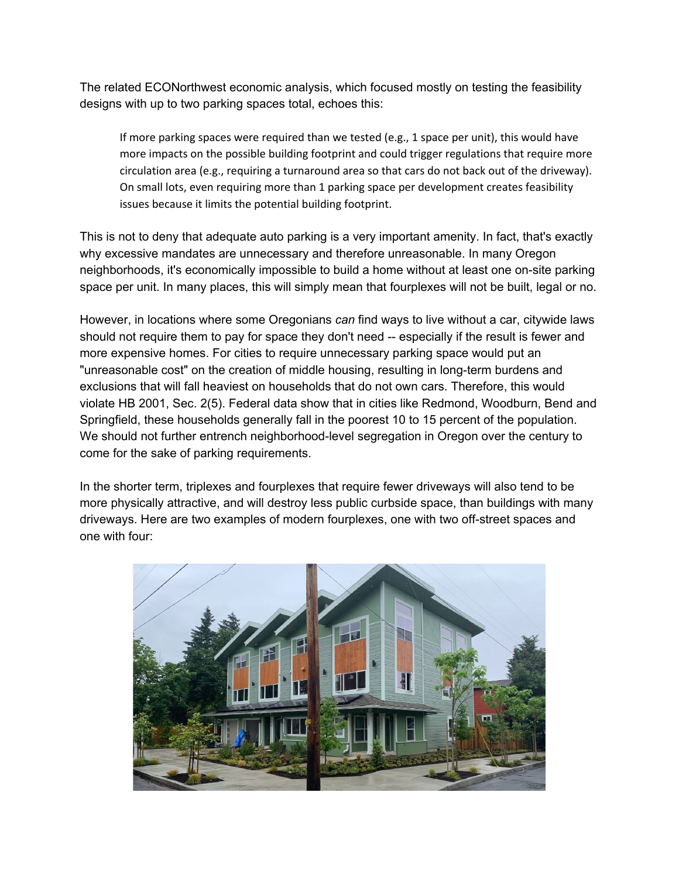The related ECONorthwest economic analysis, which focused mostly on testing the feasibility designs with up to two parking spaces total, echoes this:

If more parking spaces were required than we tested (e.g., 1 space per unit), this would have more impacts on the possible building footprint and could trigger regulations that require more circulation area (e.g., requiring a turnaround area so that cars do not back out of the driveway). On small lots, even requiring more than 1 parking space per development creates feasibility issues because it limits the potential building footprint.

This is not to deny that adequate auto parking is a very important amenity. In fact, that's exactly why excessive mandates are unnecessary and therefore unreasonable. In many Oregon neighborhoods, it's economically impossible to build a home without at least one on-site parking space per unit. In many places, this will simply mean that fourplexes will not be built, legal or no.

However, in locations where some Oregonians *can* find ways to live without a car, citywide laws should not require them to pay for space they don't need -- especially if the result is fewer and more expensive homes. For cities to require unnecessary parking space would put an "unreasonable cost" on the creation of middle housing, resulting in long-term burdens and exclusions that will fall heaviest on households that do not own cars. Therefore, this would violate HB 2001, Sec. 2(5). Federal data show that in cities like Redmond, Woodburn, Bend and Springfield, these households generally fall in the poorest 10 to 15 percent of the population. We should not further entrench neighborhood-level segregation in Oregon over the century to come for the sake of parking requirements.

In the shorter term, triplexes and fourplexes that require fewer driveways will also tend to be more physically attractive, and will destroy less public curbside space, than buildings with many driveways. Here are two examples of modern fourplexes, one with two off-street spaces and one with four: